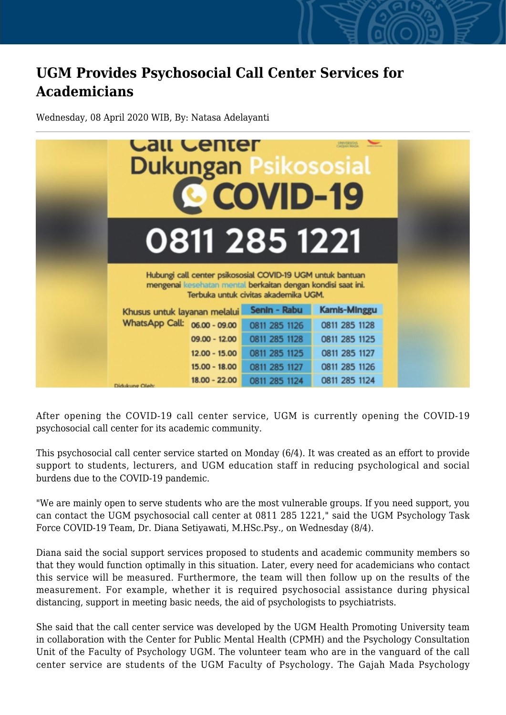## **UGM Provides Psychosocial Call Center Services for Academicians**

Wednesday, 08 April 2020 WIB, By: Natasa Adelayanti



After opening the COVID-19 call center service, UGM is currently opening the COVID-19 psychosocial call center for its academic community.

This psychosocial call center service started on Monday (6/4). It was created as an effort to provide support to students, lecturers, and UGM education staff in reducing psychological and social burdens due to the COVID-19 pandemic.

"We are mainly open to serve students who are the most vulnerable groups. If you need support, you can contact the UGM psychosocial call center at 0811 285 1221," said the UGM Psychology Task Force COVID-19 Team, Dr. Diana Setiyawati, M.HSc.Psy., on Wednesday (8/4).

Diana said the social support services proposed to students and academic community members so that they would function optimally in this situation. Later, every need for academicians who contact this service will be measured. Furthermore, the team will then follow up on the results of the measurement. For example, whether it is required psychosocial assistance during physical distancing, support in meeting basic needs, the aid of psychologists to psychiatrists.

She said that the call center service was developed by the UGM Health Promoting University team in collaboration with the Center for Public Mental Health (CPMH) and the Psychology Consultation Unit of the Faculty of Psychology UGM. The volunteer team who are in the vanguard of the call center service are students of the UGM Faculty of Psychology. The Gajah Mada Psychology